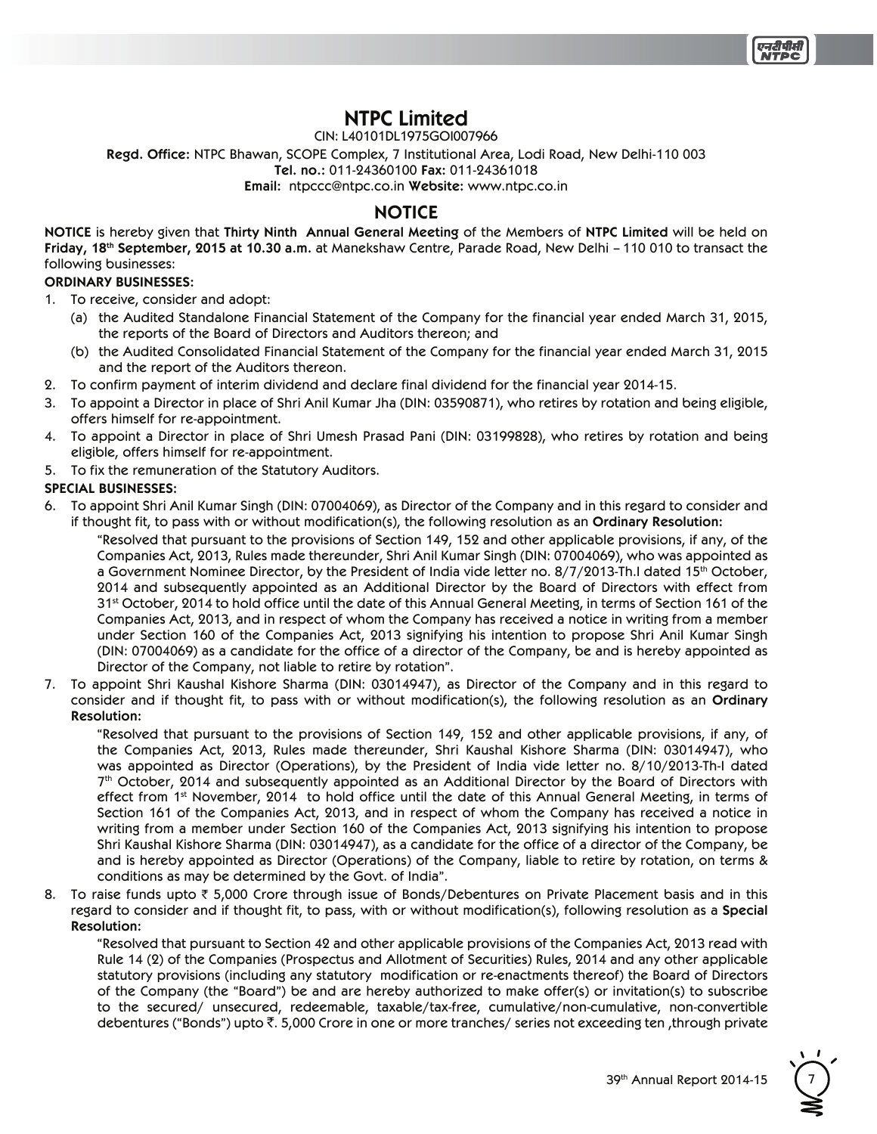

# **NTPC Limited**

CIN: L40101DL1975GOI007966

Regd. Office: NTPC Bhawan, SCOPE Complex, 7 Institutional Area, Lodi Road, New Delhi-110 003

Tel. no.: 011-24360100 Fax: 011-24361018

**Email:** ntpccc@ntpc.co.in Website: www.ntpc.co.in

# **NOTICE**

**NOTICE** is hereby given that Thirty Ninth Annual General Meeting of the Members of NTPC Limited will be held on **Friday, 18<sup>th</sup> September, 2015 at 10.30 a.m.** at Manekshaw Centre, Parade Road, New Delhi – 110 010 to transact the following businesses:

#### **ORDINARY BUSINESSES:**

- 1. To receive, consider and adopt:
	- (a) the Audited Standalone Financial Statement of the Company for the financial year ended March 31, 2015, the reports of the Board of Directors and Auditors thereon; and
	- (b) the Audited Consolidated Financial Statement of the Company for the financial year ended March 31, 2015 and the report of the Auditors thereon.
- 2. To confirm payment of interim dividend and declare final dividend for the financial year 2014-15.
- 3. To appoint a Director in place of Shri Anil Kumar Jha (DIN: 03590871), who retires by rotation and being eligible, offers himself for re-appointment.
- 4. To appoint a Director in place of Shri Umesh Prasad Pani (DIN: 03199828), who retires by rotation and being eligible, offers himself for re-appointment.
- 5. To fix the remuneration of the Statutory Auditors.

#### **SPECIAL BUSINESSES:**

6. To appoint Shri Anil Kumar Singh (DIN: 07004069), as Director of the Company and in this regard to consider and if thought fit, to pass with or without modification(s), the following resolution as an Ordinary Resolution:

"Resolved that pursuant to the provisions of Section 149, 152 and other applicable provisions, if any, of the Companies Act, 2013, Rules made thereunder, Shri Anil Kumar Singh (DIN: 07004069), who was appointed as a Government Nominee Director, by the President of India vide letter no. 8/7/2013-Th.I dated 15<sup>th</sup> October, 2014 and subsequently appointed as an Additional Director by the Board of Directors with effect from 31<sup>st</sup> October, 2014 to hold office until the date of this Annual General Meeting, in terms of Section 161 of the Companies Act, 2013, and in respect of whom the Company has received a notice in writing from a member under Section 160 of the Companies Act, 2013 signifying his intention to propose Shri Anil Kumar Singh (DIN: 07004069) as a candidate for the office of a director of the Company, be and is hereby appointed as Director of the Company, not liable to retire by rotation".

7. To appoint Shri Kaushal Kishore Sharma (DIN: 03014947), as Director of the Company and in this regard to consider and if thought fit, to pass with or without modification(s), the following resolution as an Ordinary **Resolution:**

"Resolved that pursuant to the provisions of Section 149, 152 and other applicable provisions, if any, of the Companies Act, 2013, Rules made thereunder, Shri Kaushal Kishore Sharma (DIN: 03014947), who was appointed as Director (Operations), by the President of India vide letter no. 8/10/2013-Th-I dated 7<sup>th</sup> October, 2014 and subsequently appointed as an Additional Director by the Board of Directors with effect from 1<sup>st</sup> November, 2014 to hold office until the date of this Annual General Meeting, in terms of Section 161 of the Companies Act, 2013, and in respect of whom the Company has received a notice in writing from a member under Section 160 of the Companies Act, 2013 signifying his intention to propose Shri Kaushal Kishore Sharma (DIN: 03014947), as a candidate for the office of a director of the Company, be and is hereby appointed as Director (Operations) of the Company, liable to retire by rotation, on terms & conditions as may be determined by the Govt. of India".

8. To raise funds upto  $\bar{\tau}$  5,000 Crore through issue of Bonds/Debentures on Private Placement basis and in this regard to consider and if thought fit, to pass, with or without modification(s), following resolution as a Special **Resolution:**

"Resolved that pursuant to Section 42 and other applicable provisions of the Companies Act, 2013 read with Rule 14 (2) of the Companies (Prospectus and Allotment of Securities) Rules, 2014 and any other applicable statutory provisions (including any statutory modification or re-enactments thereof) the Board of Directors of the Company (the "Board") be and are hereby authorized to make offer(s) or invitation(s) to subscribe to the secured/ unsecured, redeemable, taxable/tax-free, cumulative/non-cumulative, non-convertible debentures ("Bonds") upto ₹. 5,000 Crore in one or more tranches/ series not exceeding ten ,through private

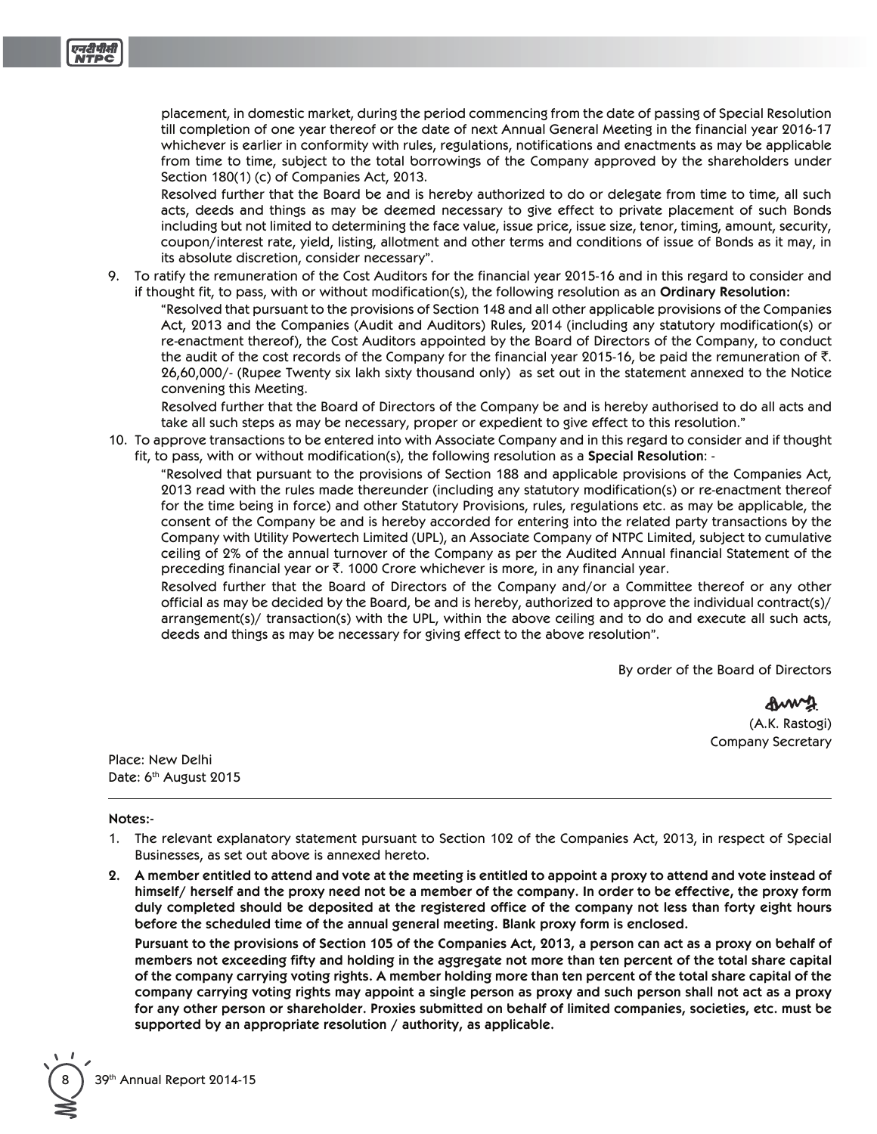placement, in domestic market, during the period commencing from the date of passing of Special Resolution till completion of one year thereof or the date of next Annual General Meeting in the financial year 2016-17 whichever is earlier in conformity with rules, regulations, notifications and enactments as may be applicable from time to time, subject to the total borrowings of the Company approved by the shareholders under Section 180(1) (c) of Companies Act, 2013.

Resolved further that the Board be and is hereby authorized to do or delegate from time to time, all such acts, deeds and things as may be deemed necessary to give effect to private placement of such Bonds including but not limited to determining the face value, issue price, issue size, tenor, timing, amount, security, coupon/interest rate, yield, listing, allotment and other terms and conditions of issue of Bonds as it may, in its absolute discretion, consider necessary".

9. To ratify the remuneration of the Cost Auditors for the financial year 2015-16 and in this regard to consider and if thought fit, to pass, with or without modification(s), the following resolution as an Ordinary Resolution:

"Resolved that pursuant to the provisions of Section 148 and all other applicable provisions of the Companies Act, 2013 and the Companies (Audit and Auditors) Rules, 2014 (including any statutory modification(s) or re-enactment thereof), the Cost Auditors appointed by the Board of Directors of the Company, to conduct the audit of the cost records of the Company for the financial year 2015-16, be paid the remuneration of  $\bar{\tau}$ . 26,60,000/- (Rupee Twenty six lakh sixty thousand only) as set out in the statement annexed to the Notice convening this Meeting.

Resolved further that the Board of Directors of the Company be and is hereby authorised to do all acts and take all such steps as may be necessary, proper or expedient to give effect to this resolution."

10. To approve transactions to be entered into with Associate Company and in this regard to consider and if thought fit, to pass, with or without modification(s), the following resolution as a Special Resolution: -

"Resolved that pursuant to the provisions of Section 188 and applicable provisions of the Companies Act, 2013 read with the rules made thereunder (including any statutory modification(s) or re-enactment thereof for the time being in force) and other Statutory Provisions, rules, regulations etc. as may be applicable, the consent of the Company be and is hereby accorded for entering into the related party transactions by the Company with Utility Powertech Limited (UPL), an Associate Company of NTPC Limited, subject to cumulative ceiling of 2% of the annual turnover of the Company as per the Audited Annual financial Statement of the preceding financial year or  $\bar{\zeta}$ . 1000 Crore whichever is more, in any financial year.

Resolved further that the Board of Directors of the Company and/or a Committee thereof or any other official as may be decided by the Board, be and is hereby, authorized to approve the individual contract(s)/ arrangement(s)/ transaction(s) with the UPL, within the above ceiling and to do and execute all such acts, deeds and things as may be necessary for giving effect to the above resolution".

By order of the Board of Directors

(A.K. Rastogi) **Company Secretary** 

Place: New Delhi Date: 6th August 2015

#### Notes:-

- 1. The relevant explanatory statement pursuant to Section 102 of the Companies Act, 2013, in respect of Special Businesses, as set out above is annexed hereto.
- 2. A member entitled to attend and vote at the meeting is entitled to appoint a proxy to attend and vote instead of himself/ herself and the proxy need not be a member of the company. In order to be effective, the proxy form duly completed should be deposited at the registered office of the company not less than forty eight hours before the scheduled time of the annual general meeting. Blank proxy form is enclosed.

Pursuant to the provisions of Section 105 of the Companies Act, 2013, a person can act as a proxy on behalf of members not exceeding fifty and holding in the aggregate not more than ten percent of the total share capital of the company carrying voting rights. A member holding more than ten percent of the total share capital of the company carrying voting rights may appoint a single person as proxy and such person shall not act as a proxy for any other person or shareholder. Proxies submitted on behalf of limited companies, societies, etc. must be supported by an appropriate resolution / authority, as applicable.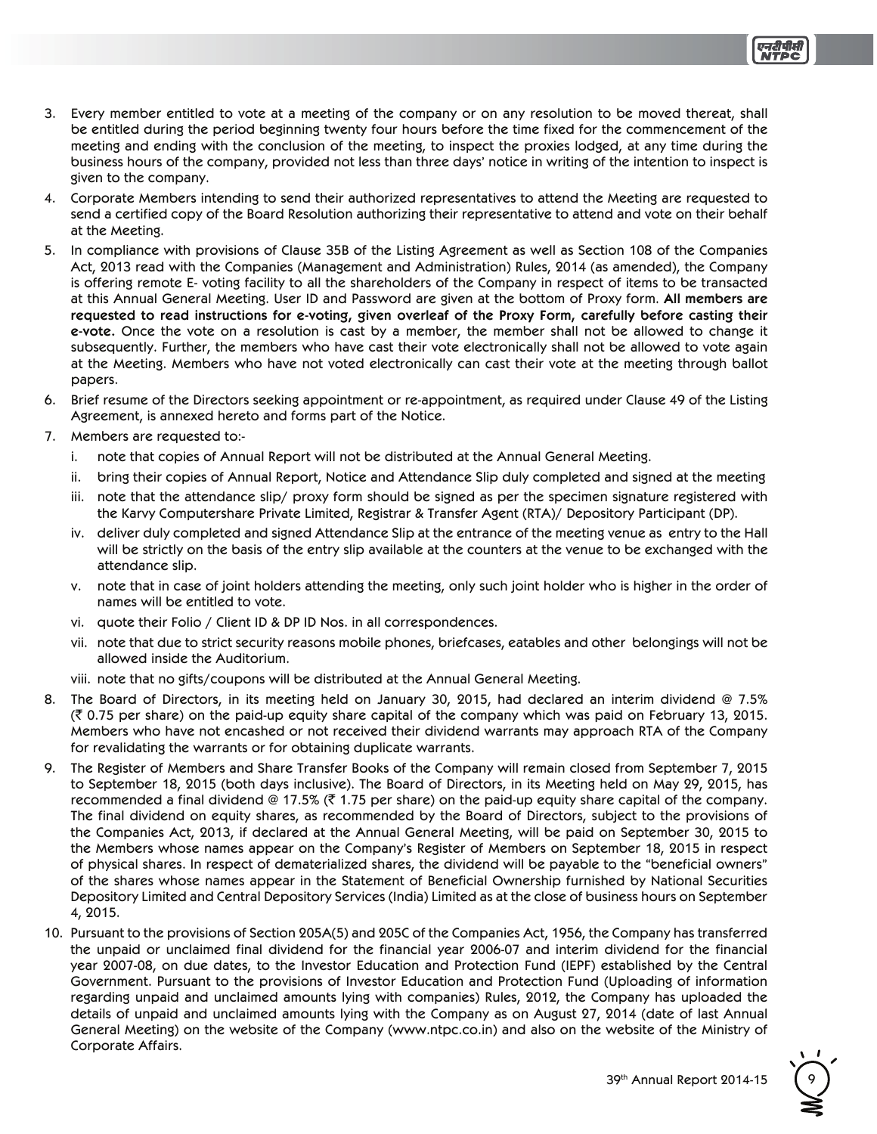- 3. Every member entitled to vote at a meeting of the company or on any resolution to be moved thereat, shall be entitled during the period beginning twenty four hours before the time fixed for the commencement of the meeting and ending with the conclusion of the meeting, to inspect the proxies lodged, at any time during the business hours of the company, provided not less than three days' notice in writing of the intention to inspect is given to the company.
- 4. Corporate Members intending to send their authorized representatives to attend the Meeting are requested to send a certified copy of the Board Resolution authorizing their representative to attend and vote on their behalf at the Meeting.
- 5. In compliance with provisions of Clause 35B of the Listing Agreement as well as Section 108 of the Companies Act, 2013 read with the Companies (Management and Administration) Rules, 2014 (as amended), the Company is offering remote E-voting facility to all the shareholders of the Company in respect of items to be transacted at this Annual General Meeting. User ID and Password are given at the bottom of Proxy form. All members are **requested to read instructions for e-voting, given overleaf of the Proxy Form, carefully before casting their**  e-vote. Once the vote on a resolution is cast by a member, the member shall not be allowed to change it subsequently. Further, the members who have cast their vote electronically shall not be allowed to vote again at the Meeting. Members who have not voted electronically can cast their vote at the meeting through ballot papers.
- 6. Brief resume of the Directors seeking appointment or re-appointment, as required under Clause 49 of the Listing Agreement, is annexed hereto and forms part of the Notice.
- 7. Members are requested to:
	- i. note that copies of Annual Report will not be distributed at the Annual General Meeting.
	- ii. bring their copies of Annual Report, Notice and Attendance Slip duly completed and signed at the meeting
	- iii. note that the attendance slip/ proxy form should be signed as per the specimen signature registered with the Karvy Computershare Private Limited, Registrar & Transfer Agent (RTA)/ Depository Participant (DP).
	- iv. deliver duly completed and signed Attendance Slip at the entrance of the meeting venue as entry to the Hall will be strictly on the basis of the entry slip available at the counters at the venue to be exchanged with the attendance slip.
	- v. note that in case of joint holders attending the meeting, only such joint holder who is higher in the order of names will be entitled to vote.
	- vi. quote their Folio / Client ID & DP ID Nos. in all correspondences.
	- vii. note that due to strict security reasons mobile phones, briefcases, eatables and other belongings will not be allowed inside the Auditorium.
	- viii. note that no gifts/coupons will be distributed at the Annual General Meeting.
- 8. The Board of Directors, in its meeting held on January 30, 2015, had declared an interim dividend  $@$  7.5%  $(3, 0.75)$  per share) on the paid-up equity share capital of the company which was paid on February 13, 2015. Members who have not encashed or not received their dividend warrants may approach RTA of the Company for revalidating the warrants or for obtaining duplicate warrants.
- 9. The Register of Members and Share Transfer Books of the Company will remain closed from September 7, 2015 to September 18, 2015 (both days inclusive). The Board of Directors, in its Meeting held on May 29, 2015, has recommended a final dividend @ 17.5% ( $\bar{\tau}$  1.75 per share) on the paid-up equity share capital of the company. The final dividend on equity shares, as recommended by the Board of Directors, subject to the provisions of the Companies Act, 2013, if declared at the Annual General Meeting, will be paid on September 30, 2015 to the Members whose names appear on the Company's Register of Members on September 18, 2015 in respect of physical shares. In respect of dematerialized shares, the dividend will be payable to the "beneficial owners" of the shares whose names appear in the Statement of Beneficial Ownership furnished by National Securities Depository Limited and Central Depository Services (India) Limited as at the close of business hours on September 4, 2015.
- 10. Pursuant to the provisions of Section 205A(5) and 205C of the Companies Act, 1956, the Company has transferred the unpaid or unclaimed final dividend for the financial year 2006-07 and interim dividend for the financial year 2007-08, on due dates, to the Investor Education and Protection Fund (IEPF) established by the Central Government. Pursuant to the provisions of Investor Education and Protection Fund (Uploading of information regarding unpaid and unclaimed amounts lying with companies) Rules, 2012, the Company has uploaded the details of unpaid and unclaimed amounts lying with the Company as on August 27, 2014 (date of last Annual General Meeting) on the website of the Company (www.ntpc.co.in) and also on the website of the Ministry of Corporate Affairs.

39th Annual Report 2014-15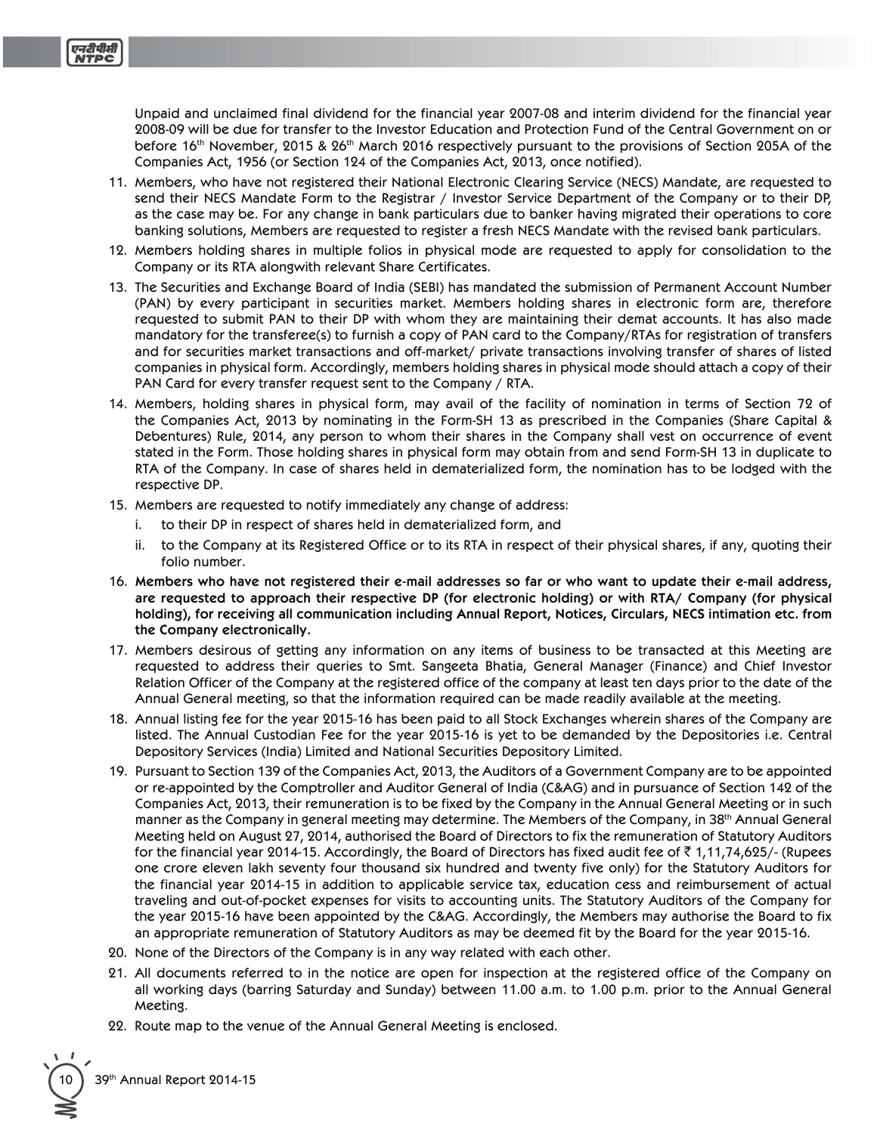Unpaid and unclaimed final dividend for the financial year 2007-08 and interim dividend for the financial year 2008-09 will be due for transfer to the Investor Education and Protection Fund of the Central Government on or before 16<sup>th</sup> November, 2015 & 26<sup>th</sup> March 2016 respectively pursuant to the provisions of Section 205A of the Companies Act, 1956 (or Section 124 of the Companies Act, 2013, once notified).

- 11. Members, who have not registered their National Electronic Clearing Service (NECS) Mandate, are requested to send their NECS Mandate Form to the Registrar / Investor Service Department of the Company or to their DP, as the case may be. For any change in bank particulars due to banker having migrated their operations to core banking solutions, Members are requested to register a fresh NECS Mandate with the revised bank particulars.
- 12. Members holding shares in multiple folios in physical mode are requested to apply for consolidation to the Company or its RTA alongwith relevant Share Certificates.
- 13. The Securities and Exchange Board of India (SEBI) has mandated the submission of Permanent Account Number (PAN) by every participant in securities market. Members holding shares in electronic form are, therefore requested to submit PAN to their DP with whom they are maintaining their demat accounts. It has also made mandatory for the transferee(s) to furnish a copy of PAN card to the Company/RTAs for registration of transfers and for securities market transactions and off-market/ private transactions involving transfer of shares of listed companies in physical form. Accordingly, members holding shares in physical mode should attach a copy of their PAN Card for every transfer request sent to the Company / RTA.
- 14. Members, holding shares in physical form, may avail of the facility of nomination in terms of Section 72 of the Companies Act, 2013 by nominating in the Form-SH 13 as prescribed in the Companies (Share Capital & Debentures) Rule, 2014, any person to whom their shares in the Company shall vest on occurrence of event stated in the Form. Those holding shares in physical form may obtain from and send Form-SH 13 in duplicate to RTA of the Company. In case of shares held in dematerialized form, the nomination has to be lodged with the respective DP.
- 15. Members are requested to notify immediately any change of address:
	- to their DP in respect of shares held in dematerialized form, and
	- ii. to the Company at its Registered Office or to its RTA in respect of their physical shares, if any, quoting their folio number.
- **Members who have not registered their e-mail addresses so far or who want to update their e-mail address, are requested to approach their respective DP (for electronic holding) or with RTA/ Company (for physical holding), for receiving all communication including Annual Report, Notices, Circulars, NECS intimation etc. from the Company electronically.**
- 17. Members desirous of getting any information on any items of business to be transacted at this Meeting are requested to address their queries to Smt. Sangeeta Bhatia, General Manager (Finance) and Chief Investor Relation Officer of the Company at the registered office of the company at least ten days prior to the date of the Annual General meeting, so that the information required can be made readily available at the meeting.
- 18. Annual listing fee for the year 2015-16 has been paid to all Stock Exchanges wherein shares of the Company are listed. The Annual Custodian Fee for the year 2015-16 is yet to be demanded by the Depositories i.e. Central Depository Services (India) Limited and National Securities Depository Limited.
- 19. Pursuant to Section 139 of the Companies Act, 2013, the Auditors of a Government Company are to be appointed or re-appointed by the Comptroller and Auditor General of India (C&AG) and in pursuance of Section 142 of the Companies Act, 2013, their remuneration is to be fixed by the Company in the Annual General Meeting or in such manner as the Company in general meeting may determine. The Members of the Company, in 38<sup>th</sup> Annual General Meeting held on August 27, 2014, authorised the Board of Directors to fix the remuneration of Statutory Auditors for the financial year 2014-15. Accordingly, the Board of Directors has fixed audit fee of  $\bar{\tau}$  1,11,74,625/- (Rupees one crore eleven lakh seventy four thousand six hundred and twenty five only) for the Statutory Auditors for the financial year 2014-15 in addition to applicable service tax, education cess and reimbursement of actual traveling and out-of-pocket expenses for visits to accounting units. The Statutory Auditors of the Company for the year 2015-16 have been appointed by the C&AG. Accordingly, the Members may authorise the Board to fix an appropriate remuneration of Statutory Auditors as may be deemed fit by the Board for the year 2015-16.
- 20. None of the Directors of the Company is in any way related with each other.
- 21. All documents referred to in the notice are open for inspection at the registered office of the Company on all working days (barring Saturday and Sunday) between 11.00 a.m. to 1.00 p.m. prior to the Annual General Meeting.
- 22. Route map to the venue of the Annual General Meeting is enclosed.

39th Annual Report 2014-15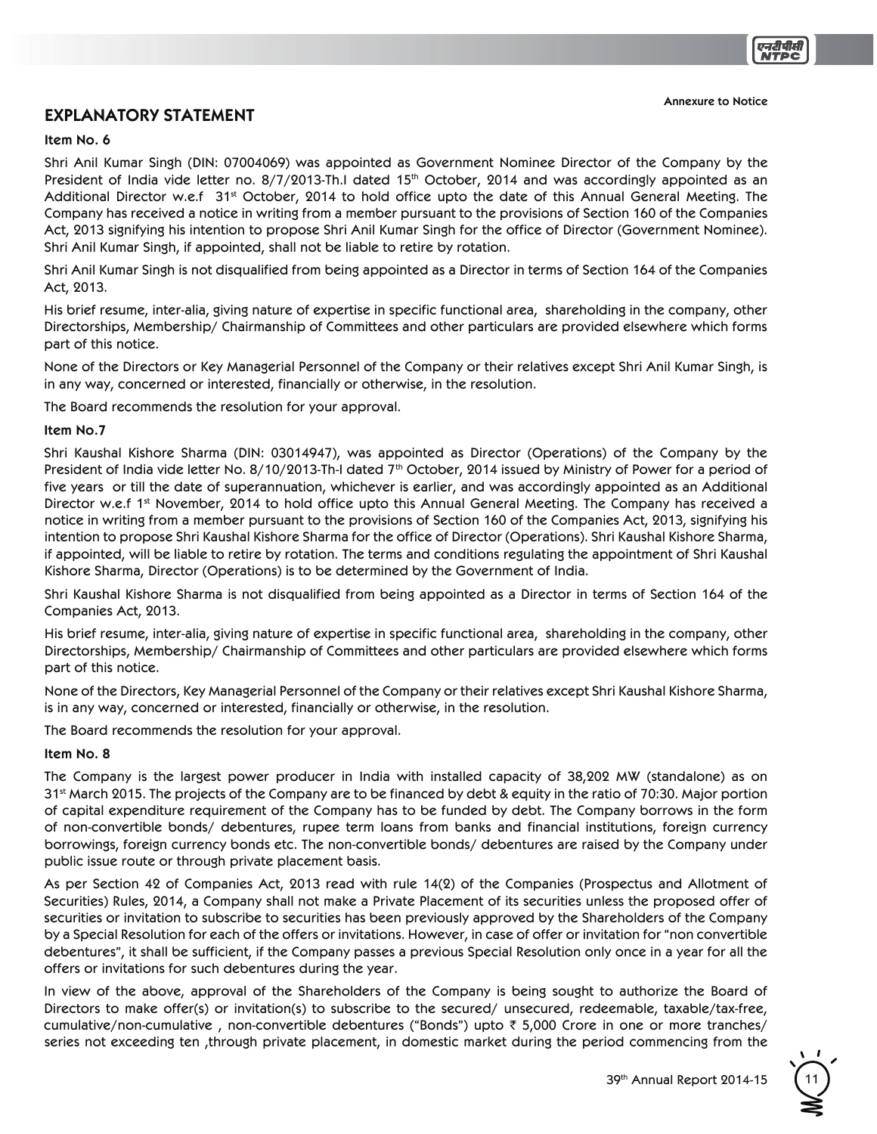### **EXPLANATORY STATEMENT**

#### **Item No. 6**

Shri Anil Kumar Singh (DIN: 07004069) was appointed as Government Nominee Director of the Company by the President of India vide letter no. 8/7/2013-Th.I dated 15<sup>th</sup> October, 2014 and was accordingly appointed as an Additional Director w.e.f 31<sup>st</sup> October, 2014 to hold office upto the date of this Annual General Meeting. The Company has received a notice in writing from a member pursuant to the provisions of Section 160 of the Companies Act, 2013 signifying his intention to propose Shri Anil Kumar Singh for the office of Director (Government Nominee). Shri Anil Kumar Singh, if appointed, shall not be liable to retire by rotation.

Shri Anil Kumar Singh is not disqualified from being appointed as a Director in terms of Section 164 of the Companies Act. 2013.

His brief resume, inter-alia, giving nature of expertise in specific functional area, shareholding in the company, other Directorships, Membership/ Chairmanship of Committees and other particulars are provided elsewhere which forms part of this notice.

None of the Directors or Key Managerial Personnel of the Company or their relatives except Shri Anil Kumar Singh, is in any way, concerned or interested, financially or otherwise, in the resolution.

The Board recommends the resolution for your approval.

#### **Item No.7**

Shri Kaushal Kishore Sharma (DIN: 03014947), was appointed as Director (Operations) of the Company by the President of India vide letter No. 8/10/2013-Th-I dated  $7<sup>th</sup>$  October, 2014 issued by Ministry of Power for a period of five years or till the date of superannuation, whichever is earlier, and was accordingly appointed as an Additional Director w.e.f 1<sup>st</sup> November, 2014 to hold office upto this Annual General Meeting. The Company has received a notice in writing from a member pursuant to the provisions of Section 160 of the Companies Act, 2013, signifying his intention to propose Shri Kaushal Kishore Sharma for the office of Director (Operations). Shri Kaushal Kishore Sharma, if appointed, will be liable to retire by rotation. The terms and conditions regulating the appointment of Shri Kaushal Kishore Sharma, Director (Operations) is to be determined by the Government of India.

Shri Kaushal Kishore Sharma is not disqualified from being appointed as a Director in terms of Section 164 of the Companies Act, 2013.

His brief resume, inter-alia, giving nature of expertise in specific functional area, shareholding in the company, other Directorships, Membership/ Chairmanship of Committees and other particulars are provided elsewhere which forms part of this notice.

None of the Directors, Key Managerial Personnel of the Company or their relatives except Shri Kaushal Kishore Sharma, is in any way, concerned or interested, financially or otherwise, in the resolution.

The Board recommends the resolution for your approval.

#### **Item No. 8**

The Company is the largest power producer in India with installed capacity of 38,202 MW (standalone) as on 31<sup>st</sup> March 2015. The projects of the Company are to be financed by debt & equity in the ratio of 70:30. Major portion of capital expenditure requirement of the Company has to be funded by debt. The Company borrows in the form of non-convertible bonds/ debentures, rupee term loans from banks and financial institutions, foreign currency borrowings, foreign currency bonds etc. The non-convertible bonds/ debentures are raised by the Company under public issue route or through private placement basis.

As per Section 42 of Companies Act, 2013 read with rule 14(2) of the Companies (Prospectus and Allotment of Securities) Rules, 2014, a Company shall not make a Private Placement of its securities unless the proposed offer of securities or invitation to subscribe to securities has been previously approved by the Shareholders of the Company by a Special Resolution for each of the offers or invitations. However, in case of offer or invitation for "non convertible debentures", it shall be sufficient, if the Company passes a previous Special Resolution only once in a year for all the offers or invitations for such debentures during the year.

In view of the above, approval of the Shareholders of the Company is being sought to authorize the Board of Directors to make offer(s) or invitation(s) to subscribe to the secured/ unsecured, redeemable, taxable/tax-free, cumulative/non-cumulative, non-convertible debentures ("Bonds") upto  $\bar{\tau}$  5,000 Crore in one or more tranches/ series not exceeding ten through private placement, in domestic market during the period commencing from the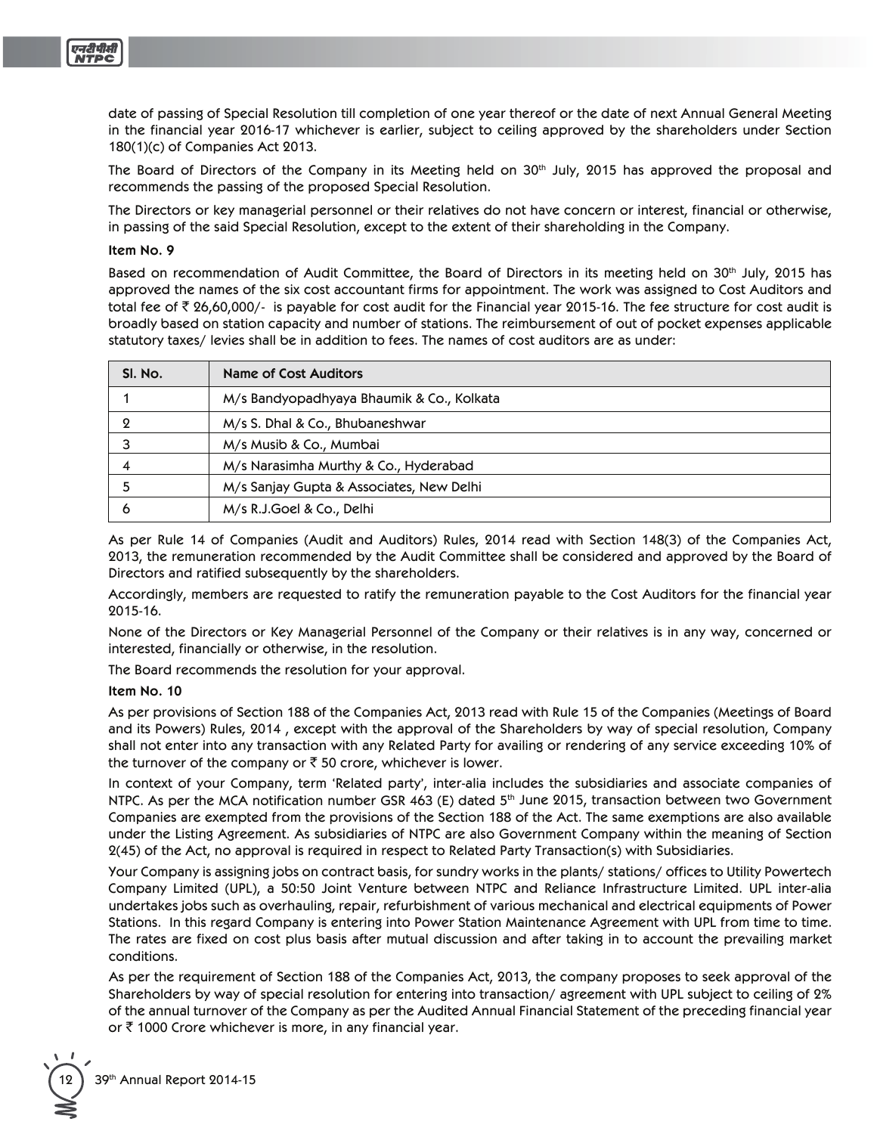

date of passing of Special Resolution till completion of one year thereof or the date of next Annual General Meeting in the financial year 2016-17 whichever is earlier, subject to ceiling approved by the shareholders under Section 180(1)(c) of Companies Act 2013.

The Board of Directors of the Company in its Meeting held on 30<sup>th</sup> July, 2015 has approved the proposal and recommends the passing of the proposed Special Resolution.

The Directors or key managerial personnel or their relatives do not have concern or interest, financial or otherwise, in passing of the said Special Resolution, except to the extent of their shareholding in the Company.

#### Item No. 9

Based on recommendation of Audit Committee, the Board of Directors in its meeting held on 30<sup>th</sup> July, 2015 has approved the names of the six cost accountant firms for appointment. The work was assigned to Cost Auditors and total fee of ₹ 26,60,000/- is payable for cost audit for the Financial year 2015-16. The fee structure for cost audit is broadly based on station capacity and number of stations. The reimbursement of out of pocket expenses applicable statutory taxes/levies shall be in addition to fees. The names of cost auditors are as under:

| SI. No. | <b>Name of Cost Auditors</b>              |  |  |
|---------|-------------------------------------------|--|--|
|         | M/s Bandyopadhyaya Bhaumik & Co., Kolkata |  |  |
|         | M/s S. Dhal & Co., Bhubaneshwar           |  |  |
|         | M/s Musib & Co., Mumbai                   |  |  |
|         | M/s Narasimha Murthy & Co., Hyderabad     |  |  |
|         | M/s Sanjay Gupta & Associates, New Delhi  |  |  |
| O       | M/s R.J.Goel & Co., Delhi                 |  |  |

As per Rule 14 of Companies (Audit and Auditors) Rules, 2014 read with Section 148(3) of the Companies Act, 2013, the remuneration recommended by the Audit Committee shall be considered and approved by the Board of Directors and ratified subsequently by the shareholders.

Accordingly, members are requested to ratify the remuneration payable to the Cost Auditors for the financial year 2015-16.

None of the Directors or Key Managerial Personnel of the Company or their relatives is in any way, concerned or interested, financially or otherwise, in the resolution.

The Board recommends the resolution for your approval.

#### Item No. 10

As per provisions of Section 188 of the Companies Act, 2013 read with Rule 15 of the Companies (Meetings of Board and its Powers) Rules, 2014, except with the approval of the Shareholders by way of special resolution, Company shall not enter into any transaction with any Related Party for availing or rendering of any service exceeding 10% of the turnover of the company or  $\bar{\tau}$  50 crore, whichever is lower.

In context of your Company, term 'Related party', inter-alia includes the subsidiaries and associate companies of NTPC. As per the MCA notification number GSR 463 (E) dated 5<sup>th</sup> June 2015, transaction between two Government Companies are exempted from the provisions of the Section 188 of the Act. The same exemptions are also available under the Listing Agreement. As subsidiaries of NTPC are also Government Company within the meaning of Section 2(45) of the Act, no approval is required in respect to Related Party Transaction(s) with Subsidiaries.

Your Company is assigning jobs on contract basis, for sundry works in the plants/stations/offices to Utility Powertech Company Limited (UPL), a 50:50 Joint Venture between NTPC and Reliance Infrastructure Limited. UPL inter-alia undertakes jobs such as overhauling, repair, refurbishment of various mechanical and electrical equipments of Power Stations. In this regard Company is entering into Power Station Maintenance Agreement with UPL from time to time. The rates are fixed on cost plus basis after mutual discussion and after taking in to account the prevailing market conditions.

As per the requirement of Section 188 of the Companies Act, 2013, the company proposes to seek approval of the Shareholders by way of special resolution for entering into transaction/agreement with UPL subject to ceiling of 2% of the annual turnover of the Company as per the Audited Annual Financial Statement of the preceding financial year or ₹1000 Crore whichever is more, in any financial year.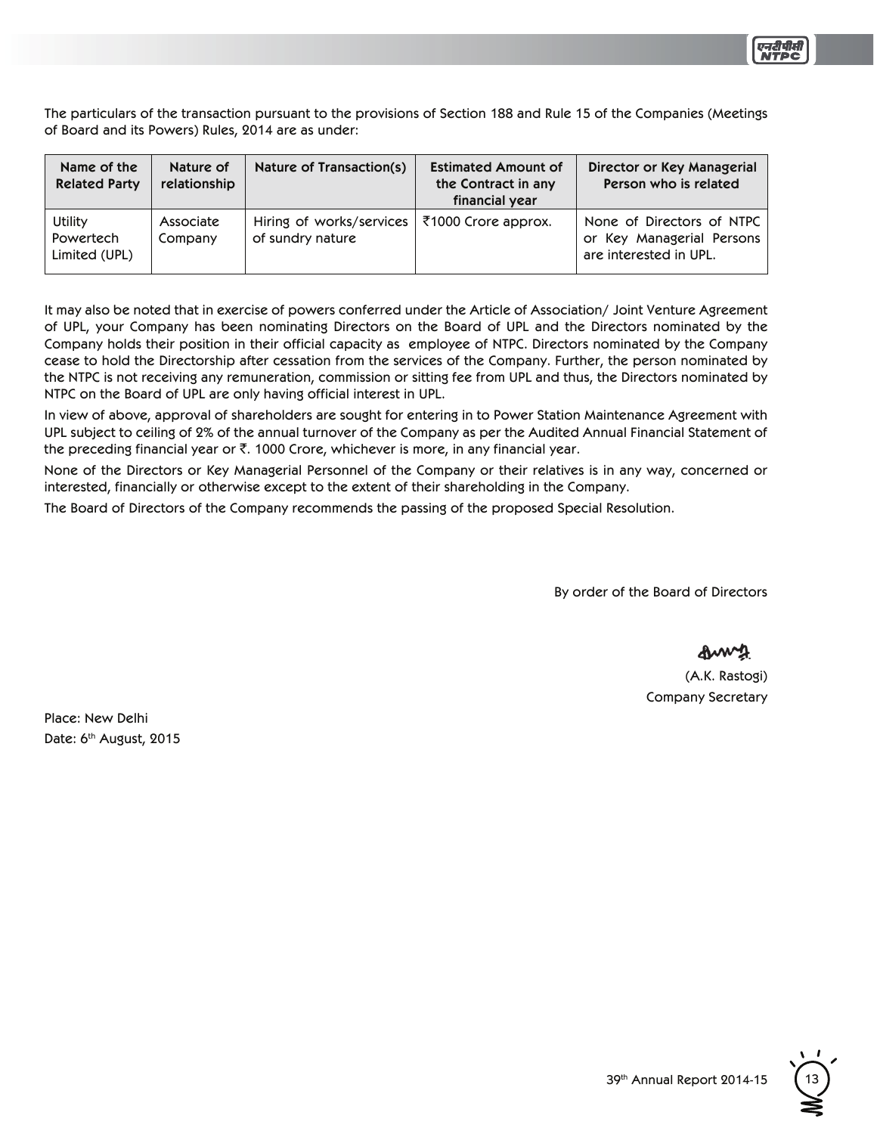

The particulars of the transaction pursuant to the provisions of Section 188 and Rule 15 of the Companies (Meetings of Board and its Powers) Rules, 2014 are as under:

| Name of the<br><b>Related Party</b>   | Nature of<br>relationship | Nature of Transaction(s)                     | <b>Estimated Amount of</b><br>the Contract in any<br>financial year | Director or Key Managerial<br>Person who is related                              |
|---------------------------------------|---------------------------|----------------------------------------------|---------------------------------------------------------------------|----------------------------------------------------------------------------------|
| Utility<br>Powertech<br>Limited (UPL) | Associate<br>Company      | Hiring of works/services<br>of sundry nature | ₹1000 Crore approx.                                                 | None of Directors of NTPC<br>or Key Managerial Persons<br>are interested in UPL. |

It may also be noted that in exercise of powers conferred under the Article of Association/Joint Venture Agreement of UPL, your Company has been nominating Directors on the Board of UPL and the Directors nominated by the Company holds their position in their official capacity as employee of NTPC. Directors nominated by the Company cease to hold the Directorship after cessation from the services of the Company. Further, the person nominated by the NTPC is not receiving any remuneration, commission or sitting fee from UPL and thus, the Directors nominated by NTPC on the Board of UPL are only having official interest in UPL.

In view of above, approval of shareholders are sought for entering in to Power Station Maintenance Agreement with UPL subject to ceiling of 2% of the annual turnover of the Company as per the Audited Annual Financial Statement of the preceding financial year or  $\bar{\tau}$ . 1000 Crore, whichever is more, in any financial year.

None of the Directors or Key Managerial Personnel of the Company or their relatives is in any way, concerned or interested, financially or otherwise except to the extent of their shareholding in the Company.

The Board of Directors of the Company recommends the passing of the proposed Special Resolution.

By order of the Board of Directors

&w∿\$

(A.K. Rastogi) **Company Secretary** 

Place: New Delhi Date: 6<sup>th</sup> August, 2015